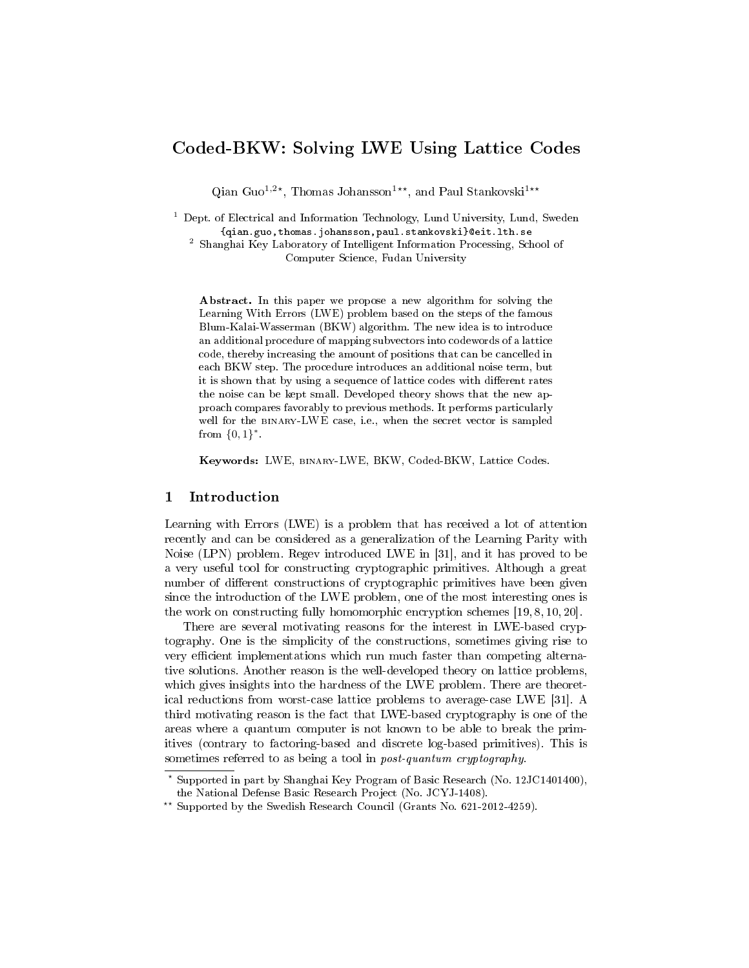# Coded-BKW: Solving LWE Using Lattice Codes

Qian Guo<sup>1,2\*</sup>, Thomas Johansson<sup>1\*\*</sup>, and Paul Stankovski<sup>1\*\*</sup>

<sup>1</sup> Dept. of Electrical and Information Technology, Lund University, Lund, Sweden {qian.guo,thomas.johansson,paul.stankovski}@eit.lth.se

<sup>2</sup> Shanghai Key Laboratory of Intelligent Information Processing, School of Computer Science, Fudan University

Abstract. In this paper we propose a new algorithm for solving the Learning With Errors (LWE) problem based on the steps of the famous Blum-Kalai-Wasserman (BKW) algorithm. The new idea is to introduce an additional procedure of mapping subvectors into codewords of a lattice code, thereby increasing the amount of positions that can be cancelled in each BKW step. The procedure introduces an additional noise term, but it is shown that by using a sequence of lattice codes with different rates the noise can be kept small. Developed theory shows that the new approach compares favorably to previous methods. It performs particularly well for the binary-LWE case, i.e., when the secret vector is sampled from  $\{0, 1\}^*$ .

Keywords: LWE, binary-LWE, BKW, Coded-BKW, Lattice Codes.

# 1 Introduction

Learning with Errors (LWE) is a problem that has received a lot of attention recently and can be considered as a generalization of the Learning Parity with Noise (LPN) problem. Regev introduced LWE in [31], and it has proved to be a very useful tool for constructing cryptographic primitives. Although a great number of different constructions of cryptographic primitives have been given since the introduction of the LWE problem, one of the most interesting ones is the work on constructing fully homomorphic encryption schemes [19, 8, 10, 20].

There are several motivating reasons for the interest in LWE-based cryptography. One is the simplicity of the constructions, sometimes giving rise to very efficient implementations which run much faster than competing alternative solutions. Another reason is the well-developed theory on lattice problems, which gives insights into the hardness of the LWE problem. There are theoretical reductions from worst-case lattice problems to average-case LWE [31]. A third motivating reason is the fact that LWE-based cryptography is one of the areas where a quantum computer is not known to be able to break the primitives (contrary to factoring-based and discrete log-based primitives). This is sometimes referred to as being a tool in *post-quantum cryptography*.

Supported in part by Shanghai Key Program of Basic Research (No. 12JC1401400), the National Defense Basic Research Project (No. JCYJ-1408).

<sup>\*\*</sup> Supported by the Swedish Research Council (Grants No. 621-2012-4259).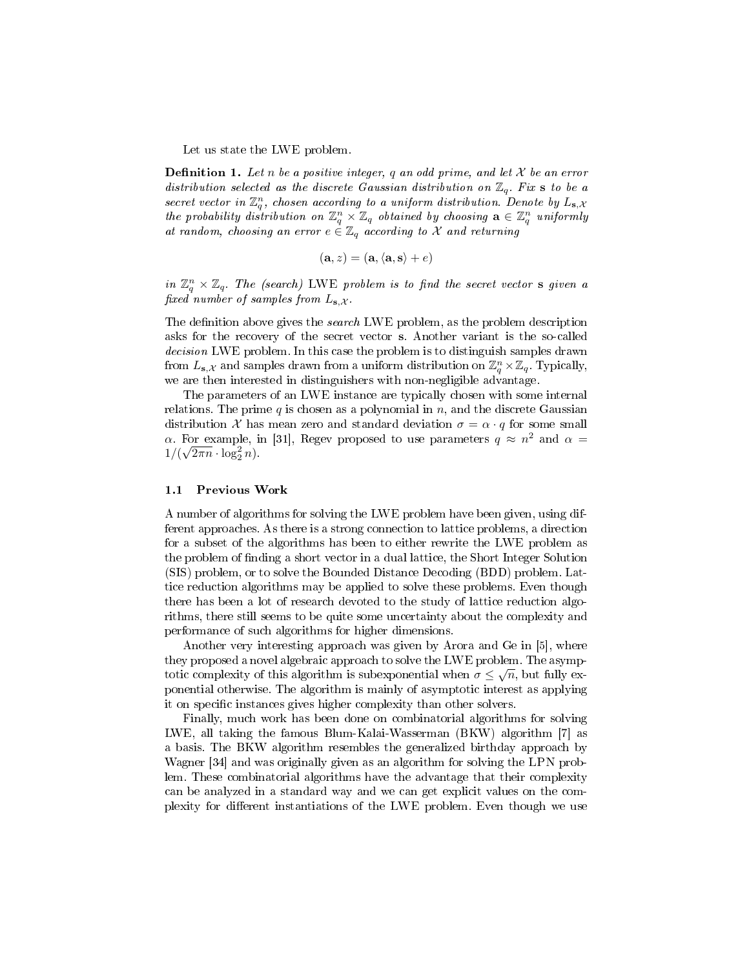Let us state the LWE problem.

**Definition 1.** Let n be a positive integer, q an odd prime, and let  $X$  be an error distribution selected as the discrete Gaussian distribution on  $\mathbb{Z}_q$ . Fix s to be a secret vector in  $\mathbb{Z}_q^n$ , chosen according to a uniform distribution. Denote by  $L_{\mathbf{s},\mathcal{X}}$ the probability distribution on  $\mathbb{Z}_q^n\times\mathbb{Z}_q$  obtained by choosing  $\mathbf{a}\in\mathbb{Z}_q^n$  uniformly at random, choosing an error  $e \in \mathbb{Z}_q$  according to X and returning

$$
(\mathbf{a}, z) = (\mathbf{a}, \langle \mathbf{a}, \mathbf{s} \rangle + e)
$$

in  $\mathbb{Z}_q^n\times\mathbb{Z}_q$ . The (search) LWE problem is to find the secret vector s given a fixed number of samples from  $L_{\mathbf{s},\mathcal{X}}$ .

The definition above gives the *search* LWE problem, as the problem description asks for the recovery of the secret vector s. Another variant is the so-called decision LWE problem. In this case the problem is to distinguish samples drawn from  $L_{\mathbf{s},\mathcal{X}}$  and samples drawn from a uniform distribution on  $\mathbb{Z}_q^n\times\mathbb{Z}_q$ . Typically, we are then interested in distinguishers with non-negligible advantage.

The parameters of an LWE instance are typically chosen with some internal relations. The prime q is chosen as a polynomial in  $n$ , and the discrete Gaussian distribution X has mean zero and standard deviation  $\sigma = \alpha \cdot q$  for some small  $\alpha$ . For example, in [31], Regev proposed to use parameters  $q \approx n^2$  and  $\alpha =$  $1/(\sqrt{2\pi n} \cdot \log_2^2 n).$ 

#### 1.1 Previous Work

A number of algorithms for solving the LWE problem have been given, using different approaches. As there is a strong connection to lattice problems, a direction for a subset of the algorithms has been to either rewrite the LWE problem as the problem of finding a short vector in a dual lattice, the Short Integer Solution (SIS) problem, or to solve the Bounded Distance Decoding (BDD) problem. Lattice reduction algorithms may be applied to solve these problems. Even though there has been a lot of research devoted to the study of lattice reduction algorithms, there still seems to be quite some uncertainty about the complexity and performance of such algorithms for higher dimensions.

Another very interesting approach was given by Arora and Ge in [5], where they proposed a novel algebraic approach to solve the LWE problem. The asymptotic complexity of this algorithm is subexponential when  $\sigma \leq \sqrt{n}$ , but fully exponential otherwise. The algorithm is mainly of asymptotic interest as applying it on specific instances gives higher complexity than other solvers.

Finally, much work has been done on combinatorial algorithms for solving LWE, all taking the famous Blum-Kalai-Wasserman (BKW) algorithm [7] as a basis. The BKW algorithm resembles the generalized birthday approach by Wagner [34] and was originally given as an algorithm for solving the LPN problem. These combinatorial algorithms have the advantage that their complexity can be analyzed in a standard way and we can get explicit values on the complexity for different instantiations of the LWE problem. Even though we use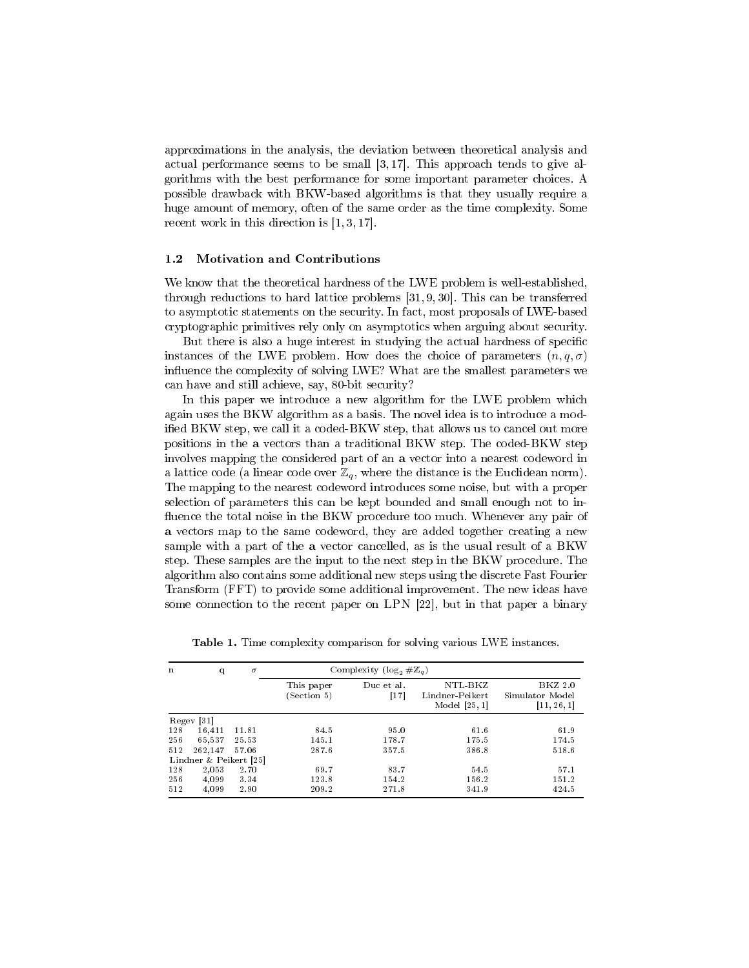approximations in the analysis, the deviation between theoretical analysis and actual performance seems to be small [3, 17]. This approach tends to give algorithms with the best performance for some important parameter choices. A possible drawback with BKW-based algorithms is that they usually require a huge amount of memory, often of the same order as the time complexity. Some recent work in this direction is [1, 3, 17].

### 1.2 Motivation and Contributions

We know that the theoretical hardness of the LWE problem is well-established, through reductions to hard lattice problems [31, 9, 30]. This can be transferred to asymptotic statements on the security. In fact, most proposals of LWE-based cryptographic primitives rely only on asymptotics when arguing about security.

But there is also a huge interest in studying the actual hardness of specific instances of the LWE problem. How does the choice of parameters  $(n, q, \sigma)$ influence the complexity of solving LWE? What are the smallest parameters we can have and still achieve, say, 80-bit security?

In this paper we introduce a new algorithm for the LWE problem which again uses the BKW algorithm as a basis. The novel idea is to introduce a modified BKW step, we call it a coded-BKW step, that allows us to cancel out more positions in the a vectors than a traditional BKW step. The coded-BKW step involves mapping the considered part of an a vector into a nearest codeword in a lattice code (a linear code over  $\mathbb{Z}_q$ , where the distance is the Euclidean norm). The mapping to the nearest codeword introduces some noise, but with a proper selection of parameters this can be kept bounded and small enough not to in fluence the total noise in the BKW procedure too much. Whenever any pair of a vectors map to the same codeword, they are added together creating a new sample with a part of the a vector cancelled, as is the usual result of a BKW step. These samples are the input to the next step in the BKW procedure. The algorithm also contains some additional new steps using the discrete Fast Fourier Transform (FFT) to provide some additional improvement. The new ideas have some connection to the recent paper on LPN [22], but in that paper a binary

| n   | q                      | $\sigma$ | Complexity $(\log_2 \# \mathbb{Z}_q)$ |                      |                                             |                                                  |  |  |
|-----|------------------------|----------|---------------------------------------|----------------------|---------------------------------------------|--------------------------------------------------|--|--|
|     |                        |          | This paper<br>Section 5)              | Duc et al.<br>$[17]$ | NTL-BKZ<br>Lindner-Peikert<br>Model [25, 1] | <b>BKZ 2.0</b><br>Simulator Model<br>[11, 26, 1] |  |  |
|     | Regev <sup>[31]</sup>  |          |                                       |                      |                                             |                                                  |  |  |
| 128 | 16,411                 | 11.81    | 84.5                                  | 95.0                 | 61.6                                        | 61.9                                             |  |  |
| 256 | 65,537                 | 25.53    | 145.1                                 | 178.7                | 175.5                                       | 174.5                                            |  |  |
| 512 | 262,147                | 57.06    | 287.6                                 | 357.5                | 386.8                                       | 518.6                                            |  |  |
|     | Lindner & Peikert [25] |          |                                       |                      |                                             |                                                  |  |  |
| 128 | 2,053                  | 2.70     | 69.7                                  | 83.7                 | 54.5                                        | 57.1                                             |  |  |
| 256 | 4.099                  | 3.34     | 123.8                                 | 154.2                | 156.2                                       | 151.2                                            |  |  |
| 512 | 4.099                  | 2.90     | 209.2                                 | 271.8                | 341.9                                       | 424.5                                            |  |  |

Table 1. Time complexity comparison for solving various LWE instances.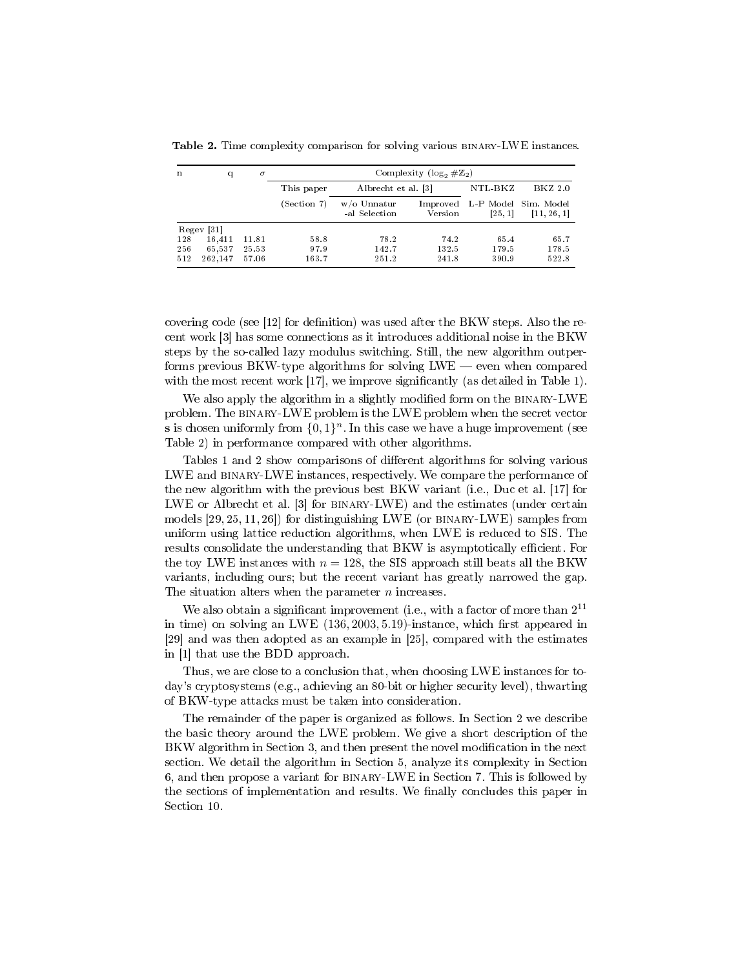| n               | q       | $\sigma$ | Complexity ( $\log_2 \# \mathbb{Z}_2$ ) |                              |                     |                                 |             |  |
|-----------------|---------|----------|-----------------------------------------|------------------------------|---------------------|---------------------------------|-------------|--|
|                 |         |          | This paper                              | Albrecht et al. [3]          |                     | NTL-BKZ                         | BKZ 2.0     |  |
|                 |         |          | (Section 7)                             | w/o Unnatur<br>-al Selection | Improved<br>Version | L-P Model Sim. Model<br>[25, 1] | [11, 26, 1] |  |
| $[31]$<br>Regev |         |          |                                         |                              |                     |                                 |             |  |
| 128             | 16.411  | 11.81    | 58.8                                    | 78.2                         | 74.2                | 65.4                            | 65.7        |  |
| 256             | 65,537  | 25.53    | 97.9                                    | 142.7                        | 132.5               | 179.5                           | 178.5       |  |
| 512             | 262.147 | 57.06    | 163.7                                   | 251.2                        | 241.8               | 390.9                           | 522.8       |  |

Table 2. Time complexity comparison for solving various binary-LWE instances.

covering code (see [12] for definition) was used after the BKW steps. Also the recent work [3] has some connections as it introduces additional noise in the BKW steps by the so-called lazy modulus switching. Still, the new algorithm outperforms previous BKW-type algorithms for solving  $LWE$  even when compared with the most recent work [17], we improve significantly (as detailed in Table 1).

We also apply the algorithm in a slightly modified form on the BINARY-LWE problem. The binary-LWE problem is the LWE problem when the secret vector **s** is chosen uniformly from  $\{0,1\}^n$ . In this case we have a huge improvement (see Table 2) in performance compared with other algorithms.

Tables 1 and 2 show comparisons of different algorithms for solving various LWE and binary-LWE instances, respectively. We compare the performance of the new algorithm with the previous best BKW variant (i.e., Duc et al. [17] for LWE or Albrecht et al. [3] for binary-LWE) and the estimates (under certain models [29, 25, 11, 26]) for distinguishing LWE (or binary-LWE) samples from uniform using lattice reduction algorithms, when LWE is reduced to SIS. The results consolidate the understanding that BKW is asymptotically efficient. For the toy LWE instances with  $n = 128$ , the SIS approach still beats all the BKW variants, including ours; but the recent variant has greatly narrowed the gap. The situation alters when the parameter  $n$  increases.

We also obtain a significant improvement (i.e., with a factor of more than  $2^{11}$ in time) on solving an LWE  $(136, 2003, 5.19)$ -instance, which first appeared in [29] and was then adopted as an example in [25], compared with the estimates in [1] that use the BDD approach.

Thus, we are close to a conclusion that, when choosing LWE instances for today's cryptosystems (e.g., achieving an 80-bit or higher security level), thwarting of BKW-type attacks must be taken into consideration.

The remainder of the paper is organized as follows. In Section 2 we describe the basic theory around the LWE problem. We give a short description of the BKW algorithm in Section 3, and then present the novel modification in the next section. We detail the algorithm in Section 5, analyze its complexity in Section 6, and then propose a variant for binary-LWE in Section 7. This is followed by the sections of implementation and results. We finally concludes this paper in Section 10.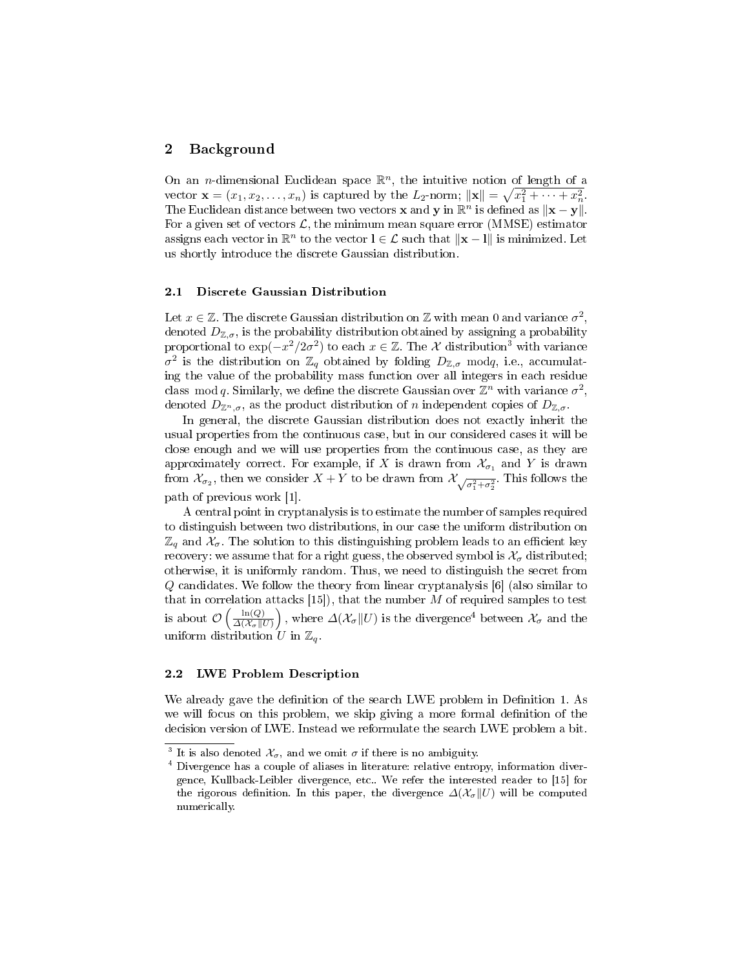### 2 Background

On an *n*-dimensional Euclidean space  $\mathbb{R}^n$ , the intuitive notion of length of a vector  $\mathbf{x} = (x_1, x_2, \dots, x_n)$  is captured by the  $L_2$ -norm;  $\|\mathbf{x}\| = \sqrt{x_1^2 + \dots + x_n^2}$ . The Euclidean distance between two vectors **x** and **y** in  $\mathbb{R}^n$  is defined as  $\|\mathbf{x} - \mathbf{y}\|$ . For a given set of vectors  $\mathcal{L}$ , the minimum mean square error (MMSE) estimator assigns each vector in  $\mathbb{R}^n$  to the vector  $\mathbf{l} \in \mathcal{L}$  such that  $\|\mathbf{x} - \mathbf{l}\|$  is minimized. Let us shortly introduce the discrete Gaussian distribution.

### 2.1 Discrete Gaussian Distribution

Let  $x \in \mathbb{Z}$ . The discrete Gaussian distribution on  $\mathbb Z$  with mean 0 and variance  $\sigma^2$ , denoted  $D_{\mathbb{Z},\sigma}$ , is the probability distribution obtained by assigning a probability proportional to  $\exp(-x^2/2\sigma^2)$  to each  $x\in\mathbb{Z}$ . The  $\mathcal X$  distribution $^3$  with variance  $\sigma^2$  is the distribution on  $\mathbb{Z}_q$  obtained by folding  $D_{\mathbb{Z},\sigma}$  modq, i.e., accumulating the value of the probability mass function over all integers in each residue class mod q. Similarly, we define the discrete Gaussian over  $\mathbb{Z}^n$  with variance  $\sigma^2,$ denoted  $D_{\mathbb{Z}^n, \sigma}$ , as the product distribution of n independent copies of  $D_{\mathbb{Z}, \sigma}$ .

In general, the discrete Gaussian distribution does not exactly inherit the usual properties from the continuous case, but in our considered cases it will be close enough and we will use properties from the continuous case, as they are approximately correct. For example, if  $X$  is drawn from  $\mathcal{X}_{\sigma_1}$  and  $Y$  is drawn from  $\mathcal{X}_{\sigma_2}$ , then we consider  $X + Y$  to be drawn from  $\mathcal{X}_{\sqrt{\sigma_1^2 + \sigma_2^2}}$ . This follows the path of previous work [1].

A central point in cryptanalysis is to estimate the number of samples required to distinguish between two distributions, in our case the uniform distribution on  $\mathbb{Z}_q$  and  $\mathcal{X}_\sigma$ . The solution to this distinguishing problem leads to an efficient key recovery: we assume that for a right guess, the observed symbol is  $\mathcal{X}_{\sigma}$  distributed; otherwise, it is uniformly random. Thus, we need to distinguish the secret from Q candidates. We follow the theory from linear cryptanalysis [6] (also similar to that in correlation attacks  $[15]$ , that the number M of required samples to test is about  $\mathcal{O}\left(\frac{\ln(Q)}{A(X) \| Q\|}\right)$  $\frac{\ln(Q)}{\Delta(\mathcal{X}_{\sigma}||U)}\right)$ , where  $\Delta(\mathcal{X}_{\sigma}||U)$  is the divergence<sup>4</sup> between  $\mathcal{X}_{\sigma}$  and the uniform distribution U in  $\mathbb{Z}_q$ .

### 2.2 LWE Problem Description

We already gave the definition of the search LWE problem in Definition 1. As we will focus on this problem, we skip giving a more formal definition of the decision version of LWE. Instead we reformulate the search LWE problem a bit.

<sup>&</sup>lt;sup>3</sup> It is also denoted  $\mathcal{X}_{\sigma}$ , and we omit  $\sigma$  if there is no ambiguity.

<sup>4</sup> Divergence has a couple of aliases in literature: relative entropy, information divergence, Kullback-Leibler divergence, etc.. We refer the interested reader to [15] for the rigorous definition. In this paper, the divergence  $\Delta(\mathcal{X}_{\sigma}||U)$  will be computed numerically.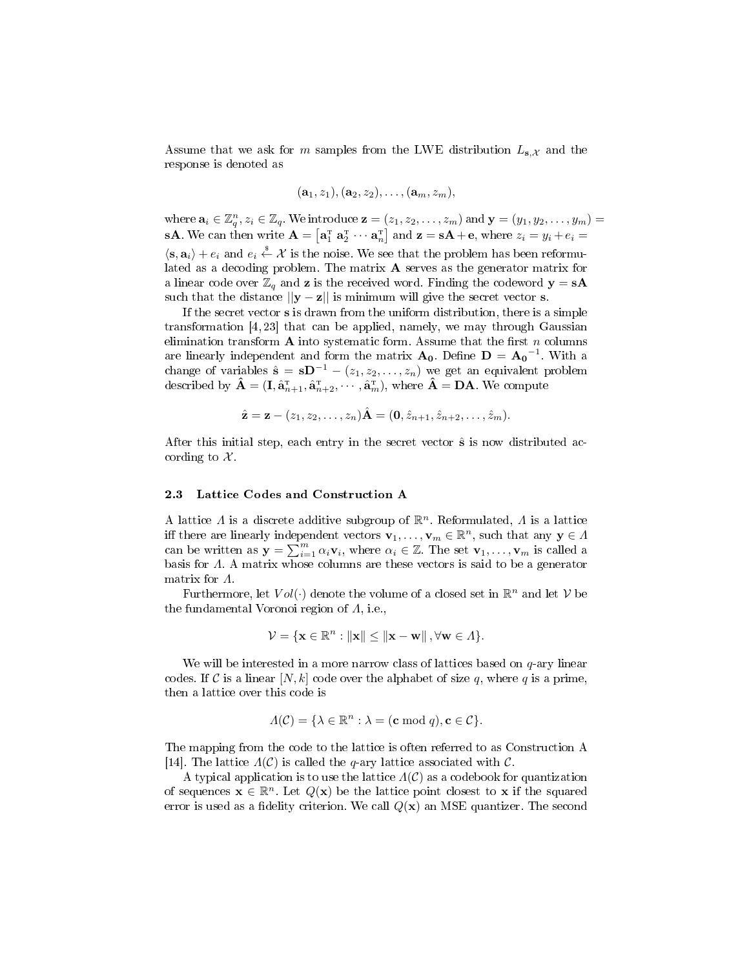Assume that we ask for m samples from the LWE distribution  $L_{s,x}$  and the response is denoted as

$$
(\mathbf{a}_1,z_1),(\mathbf{a}_2,z_2),\ldots,(\mathbf{a}_m,z_m),
$$

where  $\mathbf{a}_i \in \mathbb{Z}_q^n$ ,  $z_i \in \mathbb{Z}_q$ . We introduce  $\mathbf{z} = (z_1, z_2, \dots, z_m)$  and  $\mathbf{y} = (y_1, y_2, \dots, y_m)$  ${\bf s}{\bf A}.$  We can then write  ${\bf A}=\left[{\bf a}_1^{\scriptscriptstyle\rm T}~{\bf a}_2^{\scriptscriptstyle\rm T}~\cdots~{\bf a}_n^{\scriptscriptstyle\rm T}\right]$  and  ${\bf z}={\bf s}{\bf A}+{\bf e},$  where  $z_i=y_i+e_i=1$  $\langle s, a_i \rangle + e_i$  and  $e_i \stackrel{s}{\leftarrow} \mathcal{X}$  is the noise. We see that the problem has been reformulated as a decoding problem. The matrix A serves as the generator matrix for a linear code over  $\mathbb{Z}_q$  and **z** is the received word. Finding the codeword  $y = sA$ such that the distance  $||\mathbf{y} - \mathbf{z}||$  is minimum will give the secret vector **s**.

If the secret vector s is drawn from the uniform distribution, there is a simple transformation [4, 23] that can be applied, namely, we may through Gaussian elimination transform  $A$  into systematic form. Assume that the first  $n$  columns are linearly independent and form the matrix  $\mathbf{A_0}$ . Define  $\mathbf{D} = \mathbf{A_0}^{-1}$ . With a change of variables  $\hat{\mathbf{s}} = s\mathbf{D}^{-1} - (z_1, z_2, \dots, z_n)$  we get an equivalent problem described by  $\hat{A} = (\mathbf{I}, \hat{\mathbf{a}}_{n+1}^{\mathrm{T}}, \hat{\mathbf{a}}_{n+2}^{\mathrm{T}}, \cdots, \hat{\mathbf{a}}_{m}^{\mathrm{T}}),$  where  $\hat{A} = \mathbf{DA}$ . We compute

$$
\hat{\mathbf{z}} = \mathbf{z} - (z_1, z_2, \dots, z_n) \hat{\mathbf{A}} = (\mathbf{0}, \hat{z}_{n+1}, \hat{z}_{n+2}, \dots, \hat{z}_m).
$$

After this initial step, each entry in the secret vector  $\hat{\mathbf{s}}$  is now distributed according to  $\mathcal{X}$ .

### 2.3 Lattice Codes and Construction A

A lattice  $\Lambda$  is a discrete additive subgroup of  $\mathbb{R}^n$ . Reformulated,  $\Lambda$  is a lattice iff there are linearly independent vectors  $\mathbf{v}_1, \ldots, \mathbf{v}_m \in \mathbb{R}^n$ , such that any  $\mathbf{y} \in \Lambda$ can be written as  $\mathbf{y} = \sum_{i=1}^{m} \alpha_i \mathbf{v}_i$ , where  $\alpha_i \in \mathbb{Z}$ . The set  $\mathbf{v}_1, \dots, \mathbf{v}_m$  is called a basis for Λ. A matrix whose columns are these vectors is said to be a generator matrix for Λ.

Furthermore, let  $Vol(\cdot)$  denote the volume of a closed set in  $\mathbb{R}^n$  and let  $\mathcal V$  be the fundamental Voronoi region of  $\Lambda$ , i.e.,

$$
\mathcal{V} = \{ \mathbf{x} \in \mathbb{R}^n : ||\mathbf{x}|| \le ||\mathbf{x} - \mathbf{w}|| \,, \forall \mathbf{w} \in \Lambda \}.
$$

We will be interested in a more narrow class of lattices based on  $q$ -ary linear codes. If C is a linear  $[N, k]$  code over the alphabet of size q, where q is a prime, then a lattice over this code is

$$
\Lambda(\mathcal{C}) = \{ \lambda \in \mathbb{R}^n : \lambda = (\mathbf{c} \bmod q), \mathbf{c} \in \mathcal{C} \}.
$$

The mapping from the code to the lattice is often referred to as Construction A [14]. The lattice  $\Lambda(\mathcal{C})$  is called the q-ary lattice associated with  $\mathcal{C}$ .

A typical application is to use the lattice  $\Lambda(\mathcal{C})$  as a codebook for quantization of sequences  $\mathbf{x} \in \mathbb{R}^n$ . Let  $Q(\mathbf{x})$  be the lattice point closest to x if the squared error is used as a fidelity criterion. We call  $Q(x)$  an MSE quantizer. The second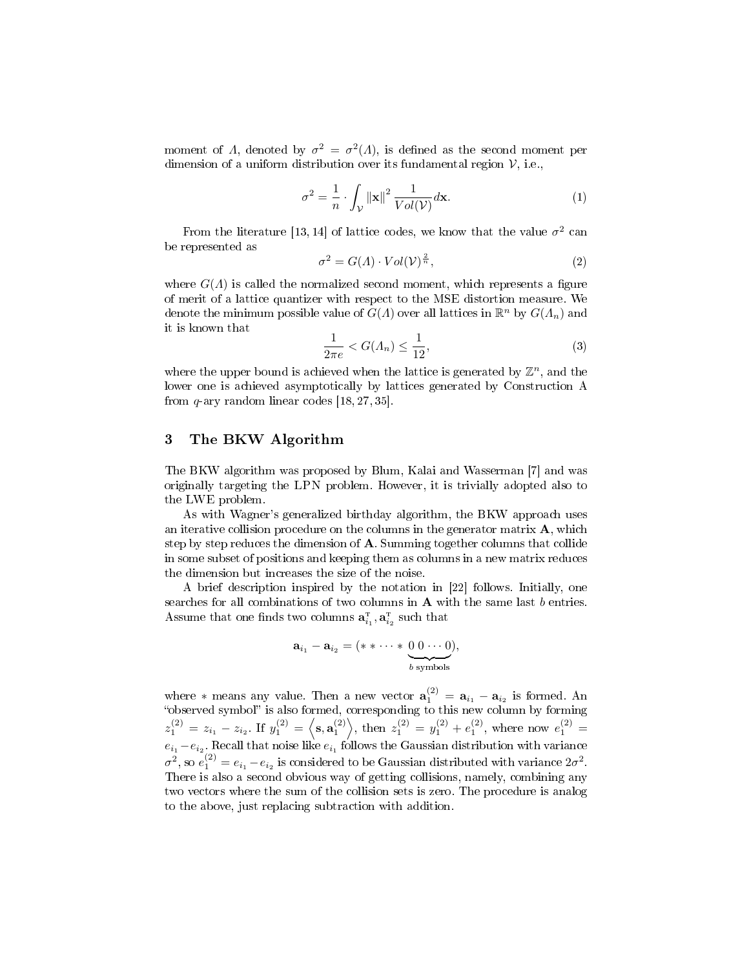moment of A, denoted by  $\sigma^2 = \sigma^2(\Lambda)$ , is defined as the second moment per dimension of a uniform distribution over its fundamental region  $\mathcal{V}$ , i.e.,

$$
\sigma^2 = \frac{1}{n} \cdot \int_{\mathcal{V}} ||\mathbf{x}||^2 \frac{1}{Vol(\mathcal{V})} d\mathbf{x}.
$$
 (1)

From the literature [13,14] of lattice codes, we know that the value  $\sigma^2$  can be represented as

$$
\sigma^2 = G(\Lambda) \cdot Vol(\mathcal{V})^{\frac{2}{n}},\tag{2}
$$

where  $G(\Lambda)$  is called the normalized second moment, which represents a figure of merit of a lattice quantizer with respect to the MSE distortion measure. We denote the minimum possible value of  $G(\Lambda)$  over all lattices in  $\mathbb{R}^n$  by  $G(\Lambda_n)$  and it is known that

$$
\frac{1}{2\pi e} < G(A_n) \le \frac{1}{12},\tag{3}
$$

where the upper bound is achieved when the lattice is generated by  $\mathbb{Z}^n$ , and the lower one is achieved asymptotically by lattices generated by Construction A from  $q$ -ary random linear codes [18, 27, 35].

# 3 The BKW Algorithm

The BKW algorithm was proposed by Blum, Kalai and Wasserman [7] and was originally targeting the LPN problem. However, it is trivially adopted also to the LWE problem.

As with Wagner's generalized birthday algorithm, the BKW approach uses an iterative collision procedure on the columns in the generator matrix  $\mathbf{A}$ , which step by step reduces the dimension of A. Summing together columns that collide in some subset of positions and keeping them as columns in a new matrix reduces the dimension but increases the size of the noise.

A brief description inspired by the notation in [22] follows. Initially, one searches for all combinations of two columns in  $A$  with the same last b entries. Assume that one finds two columns  $\mathbf{a}_{i_1}^{\mathrm{T}}, \mathbf{a}_{i_2}^{\mathrm{T}}$  such that

$$
\mathbf{a}_{i_1}-\mathbf{a}_{i_2}=(\ast \ast \cdots \ast \underbrace{0 \ 0 \ \cdots 0}_{b \ \text{ symbols}}),
$$

where \* means any value. Then a new vector  $\mathbf{a}_1^{(2)} = \mathbf{a}_{i_1} - \mathbf{a}_{i_2}$  is formed. An "observed symbol" is also formed, corresponding to this new column by forming  $z_1^{(2)} = z_{i_1} - z_{i_2}$ . If  $y_1^{(2)} = \langle \mathbf{s}, \mathbf{a}_1^{(2)} \rangle$ , then  $z_1^{(2)} = y_1^{(2)} + e_1^{(2)}$ , where now  $e_1^{(2)} =$  $e_{i_1} - e_{i_2}$ . Recall that noise like  $e_{i_1}$  follows the Gaussian distribution with variance  $\sigma^2$ , so  $e_1^{(2)} = e_{i_1} - e_{i_2}$  is considered to be Gaussian distributed with variance  $2\sigma^2$ . There is also a second obvious way of getting collisions, namely, combining any two vectors where the sum of the collision sets is zero. The procedure is analog to the above, just replacing subtraction with addition.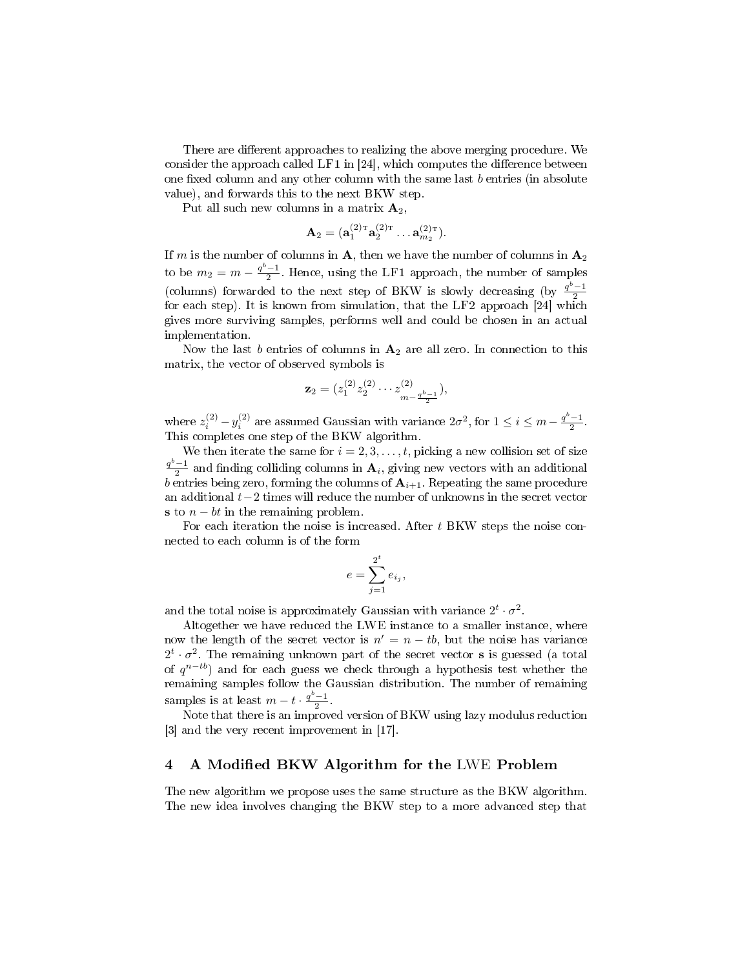There are different approaches to realizing the above merging procedure. We consider the approach called LF1 in [24], which computes the difference between one fixed column and any other column with the same last  $b$  entries (in absolute value), and forwards this to the next BKW step.

Put all such new columns in a matrix  $A_2$ ,

$$
\mathbf{A}_2 = (\mathbf{a}_1^{(2)\mathrm{T}} \mathbf{a}_2^{(2)\mathrm{T}} \dots \mathbf{a}_{m_2}^{(2)\mathrm{T}}).
$$

If m is the number of columns in A, then we have the number of columns in  $A_2$ to be  $m_2 = m - \frac{q^b - 1}{2}$ . Hence, using the LF1 approach, the number of samples (columns) forwarded to the next step of BKW is slowly decreasing (by  $\frac{q^b-1}{2}$ for each step). It is known from simulation, that the LF2 approach [24] which gives more surviving samples, performs well and could be chosen in an actual implementation.

Now the last b entries of columns in  $A_2$  are all zero. In connection to this matrix, the vector of observed symbols is

$$
\mathbf{z}_2 = (z_1^{(2)} z_2^{(2)} \cdots z_{m-\frac{q^b-1}{2}}^{(2)}),
$$

where  $z_i^{(2)} - y_i^{(2)}$  are assumed Gaussian with variance  $2\sigma^2$ , for  $1 \le i \le m - \frac{q^b - 1}{2}$ . This completes one step of the BKW algorithm.

We then iterate the same for  $i = 2, 3, \ldots, t$ , picking a new collision set of size  $\frac{q^{b}-1}{2}$  and finding colliding columns in  $\mathbf{A}_{i}$ , giving new vectors with an additional  $b$  entries being zero, forming the columns of  $\mathbf{A}_{i+1}.$  Repeating the same procedure an additional  $t-2$  times will reduce the number of unknowns in the secret vector s to  $n - bt$  in the remaining problem.

For each iteration the noise is increased. After t BKW steps the noise connected to each column is of the form

$$
e = \sum_{j=1}^{2^t} e_{i_j},
$$

and the total noise is approximately Gaussian with variance  $2^t \cdot \sigma^2$ .

Altogether we have reduced the LWE instance to a smaller instance, where now the length of the secret vector is  $n' = n - tb$ , but the noise has variance  $2^t \cdot \sigma^2$ . The remaining unknown part of the secret vector **s** is guessed (a total of  $q^{n-tb}$ ) and for each guess we check through a hypothesis test whether the remaining samples follow the Gaussian distribution. The number of remaining samples is at least  $m-t \cdot \frac{q^b-1}{2}$ .

Note that there is an improved version of BKW using lazy modulus reduction [3] and the very recent improvement in [17].

# 4 A Modified BKW Algorithm for the LWE Problem

The new algorithm we propose uses the same structure as the BKW algorithm. The new idea involves changing the BKW step to a more advanced step that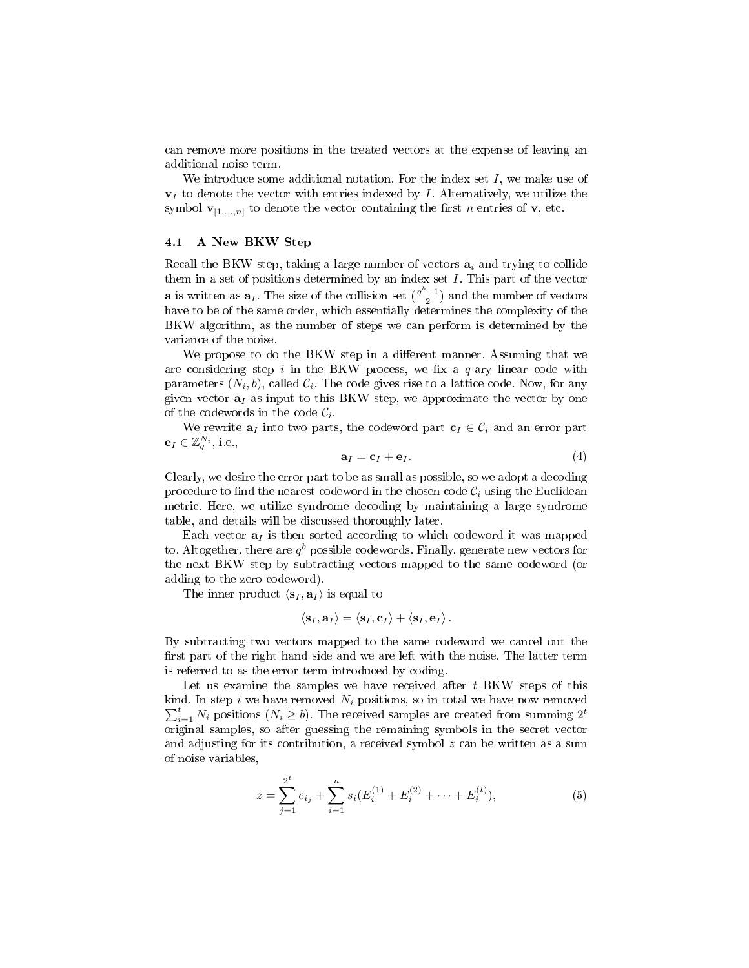can remove more positions in the treated vectors at the expense of leaving an additional noise term.

We introduce some additional notation. For the index set  $I$ , we make use of  $v_I$  to denote the vector with entries indexed by I. Alternatively, we utilize the symbol  $\mathbf{v}_{[1,...,n]}$  to denote the vector containing the first *n* entries of **v**, etc.

### 4.1 A New BKW Step

Recall the BKW step, taking a large number of vectors  $a_i$  and trying to collide them in a set of positions determined by an index set  $I$ . This part of the vector **a** is written as  $a_I$ . The size of the collision set  $(\frac{q^b-1}{2})$  and the number of vectors have to be of the same order, which essentially determines the complexity of the BKW algorithm, as the number of steps we can perform is determined by the variance of the noise.

We propose to do the BKW step in a different manner. Assuming that we are considering step i in the BKW process, we fix a  $q$ -ary linear code with parameters  $(N_i, b)$ , called  $\mathcal{C}_i$ . The code gives rise to a lattice code. Now, for any given vector  $a_I$  as input to this BKW step, we approximate the vector by one of the codewords in the code  $\mathcal{C}_i$ .

We rewrite  $a_I$  into two parts, the codeword part  $c_I \in C_i$  and an error part  $\mathbf{e}_I \in \mathbb{Z}_q^{N_i}$ , i.e.,

$$
\mathbf{a}_I = \mathbf{c}_I + \mathbf{e}_I. \tag{4}
$$

Clearly, we desire the error part to be as small as possible, so we adopt a decoding procedure to find the nearest codeword in the chosen code  $C_i$  using the Euclidean metric. Here, we utilize syndrome decoding by maintaining a large syndrome table, and details will be discussed thoroughly later.

Each vector  $a_I$  is then sorted according to which codeword it was mapped to. Altogether, there are  $q^b$  possible codewords. Finally, generate new vectors for the next BKW step by subtracting vectors mapped to the same codeword (or adding to the zero codeword).

The inner product  $\langle s_I, a_I \rangle$  is equal to

$$
\left\langle \mathbf{s}_I, \mathbf{a}_I \right\rangle = \left\langle \mathbf{s}_I, \mathbf{c}_I \right\rangle + \left\langle \mathbf{s}_I, \mathbf{e}_I \right\rangle.
$$

By subtracting two vectors mapped to the same codeword we cancel out the first part of the right hand side and we are left with the noise. The latter term is referred to as the error term introduced by coding.

Let us examine the samples we have received after  $t$  BKW steps of this  $\sum_{i=1}^{t} N_i$  positions  $(N_i \geq b)$ . The received samples are created from summing  $2^t$ kind. In step i we have removed  $N_i$  positions, so in total we have now removed original samples, so after guessing the remaining symbols in the secret vector and adjusting for its contribution, a received symbol  $z$  can be written as a sum of noise variables,

$$
z = \sum_{j=1}^{2^t} e_{i_j} + \sum_{i=1}^n s_i (E_i^{(1)} + E_i^{(2)} + \dots + E_i^{(t)}),
$$
 (5)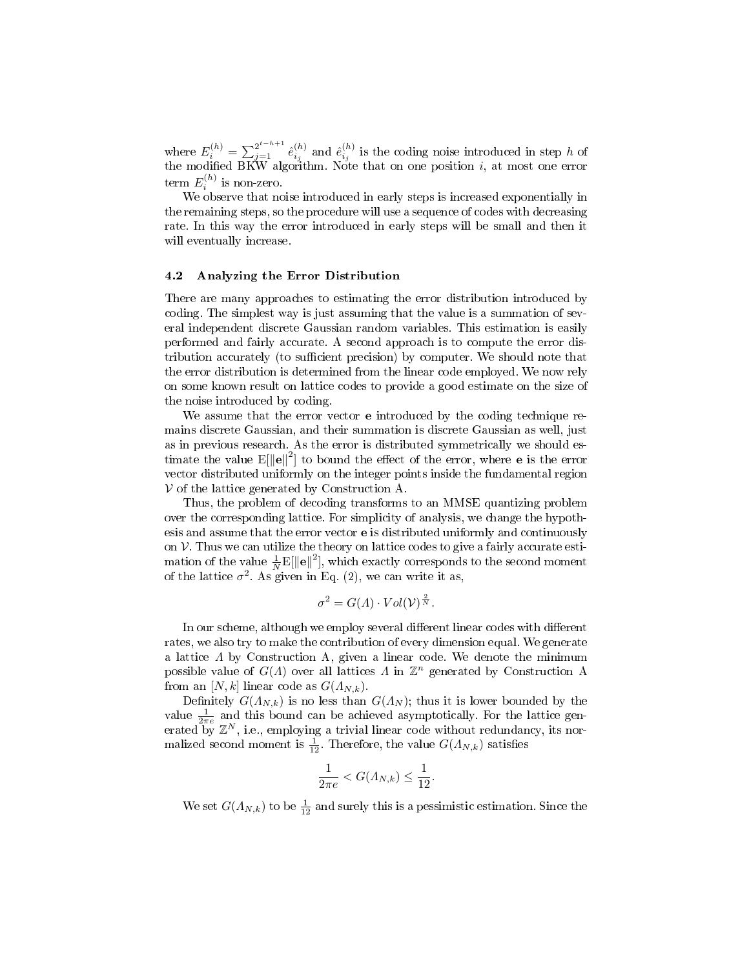where  $E_i^{(h)} = \sum_{j=1}^{2^{t-h+1}} \hat{e}_{i_j}^{(h)}$  and  $\hat{e}_{i_j}^{(h)}$  is the coding noise introduced in step h of the modified BKW algorithm. Note that on one position  $i$ , at most one error term  $E_i^{(h)}$  is non-zero.

We observe that noise introduced in early steps is increased exponentially in the remaining steps, so the procedure will use a sequence of codes with decreasing rate. In this way the error introduced in early steps will be small and then it will eventually increase.

### 4.2 Analyzing the Error Distribution

There are many approaches to estimating the error distribution introduced by coding. The simplest way is just assuming that the value is a summation of several independent discrete Gaussian random variables. This estimation is easily performed and fairly accurate. A second approach is to compute the error distribution accurately (to sufficient precision) by computer. We should note that the error distribution is determined from the linear code employed. We now rely on some known result on lattice codes to provide a good estimate on the size of the noise introduced by coding.

We assume that the error vector e introduced by the coding technique remains discrete Gaussian, and their summation is discrete Gaussian as well, just as in previous research. As the error is distributed symmetrically we should estimate the value  $E[\|\mathbf{e}\|^2]$  to bound the effect of the error, where **e** is the error vector distributed uniformly on the integer points inside the fundamental region  $V$  of the lattice generated by Construction A.

Thus, the problem of decoding transforms to an MMSE quantizing problem over the corresponding lattice. For simplicity of analysis, we change the hypothesis and assume that the error vector e is distributed uniformly and continuously on  $V$ . Thus we can utilize the theory on lattice codes to give a fairly accurate estimation of the value  $\frac{1}{N}E[\|\mathbf{e}\|^2]$ , which exactly corresponds to the second moment of the lattice  $\sigma^2$ . As given in Eq. (2), we can write it as,

$$
\sigma^2 = G(\Lambda) \cdot Vol(\mathcal{V})^{\frac{2}{N}}.
$$

In our scheme, although we employ several different linear codes with different rates, we also try to make the contribution of every dimension equal. We generate a lattice  $\Lambda$  by Construction A, given a linear code. We denote the minimum possible value of  $G(\Lambda)$  over all lattices  $\Lambda$  in  $\mathbb{Z}^n$  generated by Construction A from an  $[N, k]$  linear code as  $G(\Lambda_{N,k})$ .

Definitely  $G(\Lambda_{N,k})$  is no less than  $G(\Lambda_N)$ ; thus it is lower bounded by the value  $\frac{1}{2\pi e}$  and this bound can be achieved asymptotically. For the lattice generated by  $\mathbb{Z}^N$ , i.e., employing a trivial linear code without redundancy, its normalized second moment is  $\frac{1}{12}$ . Therefore, the value  $G(\Lambda_{N,k})$  satisfies

$$
\frac{1}{2\pi e} < G(\Lambda_{N,k}) \le \frac{1}{12}.
$$

We set  $G(\Lambda_{N,k})$  to be  $\frac{1}{12}$  and surely this is a pessimistic estimation. Since the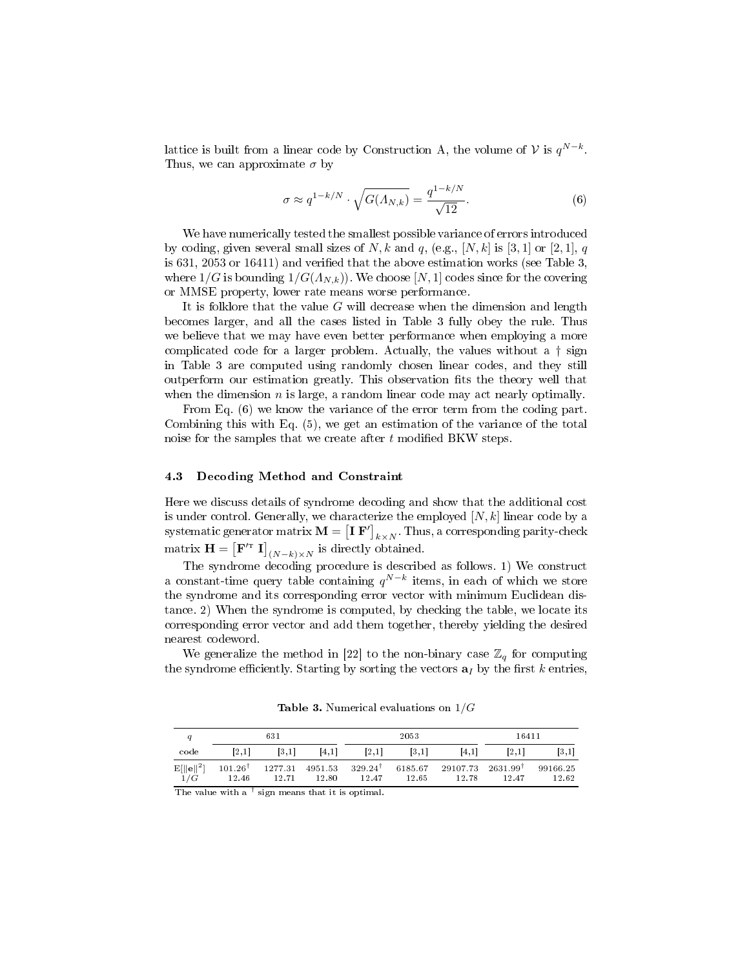lattice is built from a linear code by Construction A, the volume of  $\mathcal V$  is  $q^{N-k}$ . Thus, we can approximate  $\sigma$  by

$$
\sigma \approx q^{1-k/N} \cdot \sqrt{G(\Lambda_{N,k})} = \frac{q^{1-k/N}}{\sqrt{12}}.
$$
\n(6)

We have numerically tested the smallest possible variance of errors introduced by coding, given several small sizes of N, k and q, (e.g.,  $[N, k]$  is [3, 1] or [2, 1], q is  $631, 2053$  or  $16411$ ) and verified that the above estimation works (see Table 3, where  $1/G$  is bounding  $1/G(\Lambda_{N,k})$ . We choose [N, 1] codes since for the covering or MMSE property, lower rate means worse performance.

It is folklore that the value G will decrease when the dimension and length becomes larger, and all the cases listed in Table 3 fully obey the rule. Thus we believe that we may have even better performance when employing a more complicated code for a larger problem. Actually, the values without a † sign in Table 3 are computed using randomly chosen linear codes, and they still outperform our estimation greatly. This observation fits the theory well that when the dimension  $n$  is large, a random linear code may act nearly optimally.

From Eq. (6) we know the variance of the error term from the coding part. Combining this with Eq. (5), we get an estimation of the variance of the total noise for the samples that we create after  $t$  modified BKW steps.

### 4.3 Decoding Method and Constraint

Here we discuss details of syndrome decoding and show that the additional cost is under control. Generally, we characterize the employed  $[N, k]$  linear code by a systematic generator matrix  $\mathbf{M} = \big[\mathbf{I} \ \mathbf{F}^\prime \big]_{k \times N}$ . Thus, a corresponding parity-check matrix  $\mathbf{H} = \left[\mathbf{F}^{\prime \mathrm{\scriptscriptstyle T}} \; \mathbf{I} \right]_{(N-k) \times N}$  is directly obtained.

The syndrome decoding procedure is described as follows. 1) We construct a constant-time query table containing  $q^{N-k}$  items, in each of which we store the syndrome and its corresponding error vector with minimum Euclidean distance. 2) When the syndrome is computed, by checking the table, we locate its corresponding error vector and add them together, thereby yielding the desired nearest codeword.

We generalize the method in [22] to the non-binary case  $\mathbb{Z}_q$  for computing the syndrome efficiently. Starting by sorting the vectors  $a_I$  by the first k entries,

**Table 3.** Numerical evaluations on  $1/G$ 

|                              | 631                         |                          |       | 2053                        |                    |                   | 16411                        |                   |
|------------------------------|-----------------------------|--------------------------|-------|-----------------------------|--------------------|-------------------|------------------------------|-------------------|
| code                         | $\left[ 2,1\right]$         | [3,1]                    | 4,1   | $\left[ 2,1\right]$         | $\left[3,1\right]$ | [4,1]             | $\left[ 2,1\right]$          | [3,1]             |
| $E[\ \mathbf{e}\ ^2]$<br>1/G | $101.26^{\dagger}$<br>12.46 | 1277.31 4951.53<br>12.71 | 12.80 | $329.24^{\dagger}$<br>12.47 | 6185.67<br>12.65   | 29107.73<br>12.78 | $2631.99^{\dagger}$<br>12.47 | 99166.25<br>12.62 |

The value with a  $^{\dagger}$  sign means that it is optimal.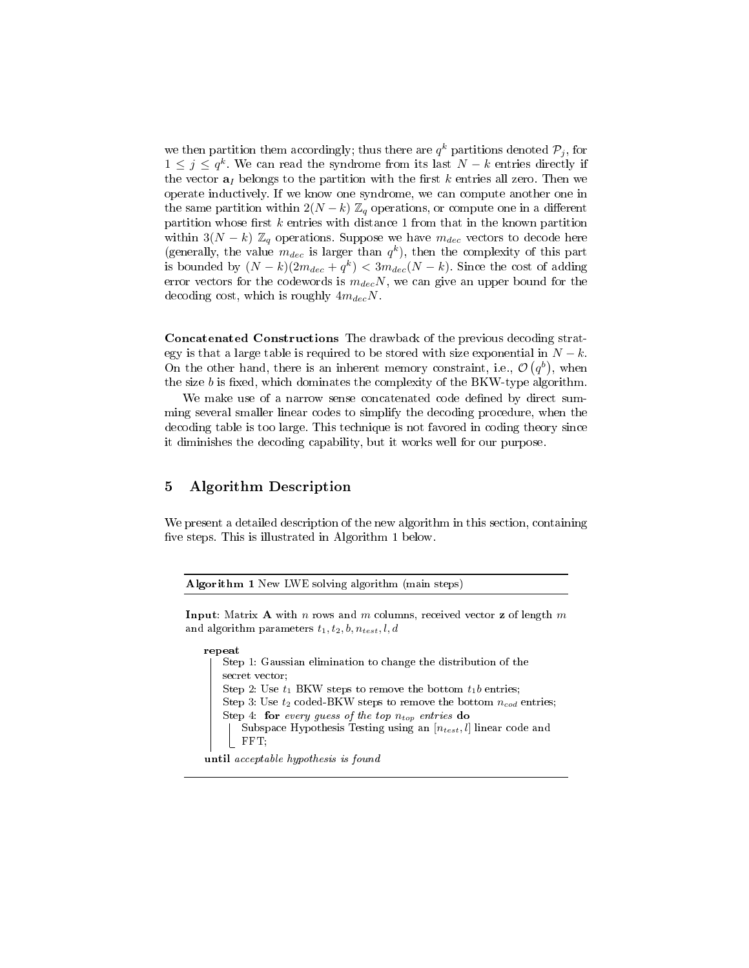we then partition them accordingly; thus there are  $q^k$  partitions denoted  $\mathcal{P}_j,$  for  $1 \leq j \leq q^k$ . We can read the syndrome from its last  $N - k$  entries directly if the vector  $a_I$  belongs to the partition with the first k entries all zero. Then we operate inductively. If we know one syndrome, we can compute another one in the same partition within  $2(N - k) \mathbb{Z}_q$  operations, or compute one in a different partition whose first  $k$  entries with distance 1 from that in the known partition within  $3(N - k) \mathbb{Z}_q$  operations. Suppose we have  $m_{dec}$  vectors to decode here (generally, the value  $m_{dec}$  is larger than  $q^k$ ), then the complexity of this part is bounded by  $(N-k)(2m_{dec} + q^k) < 3m_{dec}(N-k)$ . Since the cost of adding error vectors for the codewords is  $m_{dec}N$ , we can give an upper bound for the decoding cost, which is roughly  $4m_{dec}N$ .

Concatenated Constructions The drawback of the previous decoding strategy is that a large table is required to be stored with size exponential in  $N - k$ . On the other hand, there is an inherent memory constraint, i.e.,  $\mathcal{O}(q^b)$ , when the size  $b$  is fixed, which dominates the complexity of the BKW-type algorithm.

We make use of a narrow sense concatenated code defined by direct summing several smaller linear codes to simplify the decoding procedure, when the decoding table is too large. This technique is not favored in coding theory since it diminishes the decoding capability, but it works well for our purpose.

# 5 Algorithm Description

We present a detailed description of the new algorithm in this section, containing five steps. This is illustrated in Algorithm 1 below.

Algorithm 1 New LWE solving algorithm (main steps)

**Input:** Matrix **A** with n rows and m columns, received vector z of length m and algorithm parameters  $t_1, t_2, b, n_{test}, l, d$ 

```
repeat
   Step 1: Gaussian elimination to change the distribution of the
   secret vector;
   Step 2: Use t_1 BKW steps to remove the bottom t_1b entries;
   Step 3: Use t_2 coded-BKW steps to remove the bottom n_{cod} entries;
   Step 4: for every guess of the top n_{top} entries do
        Subspace Hypothesis Testing using an [n_{test}, l] linear code and
       FFT;
until acceptable hypothesis is found
```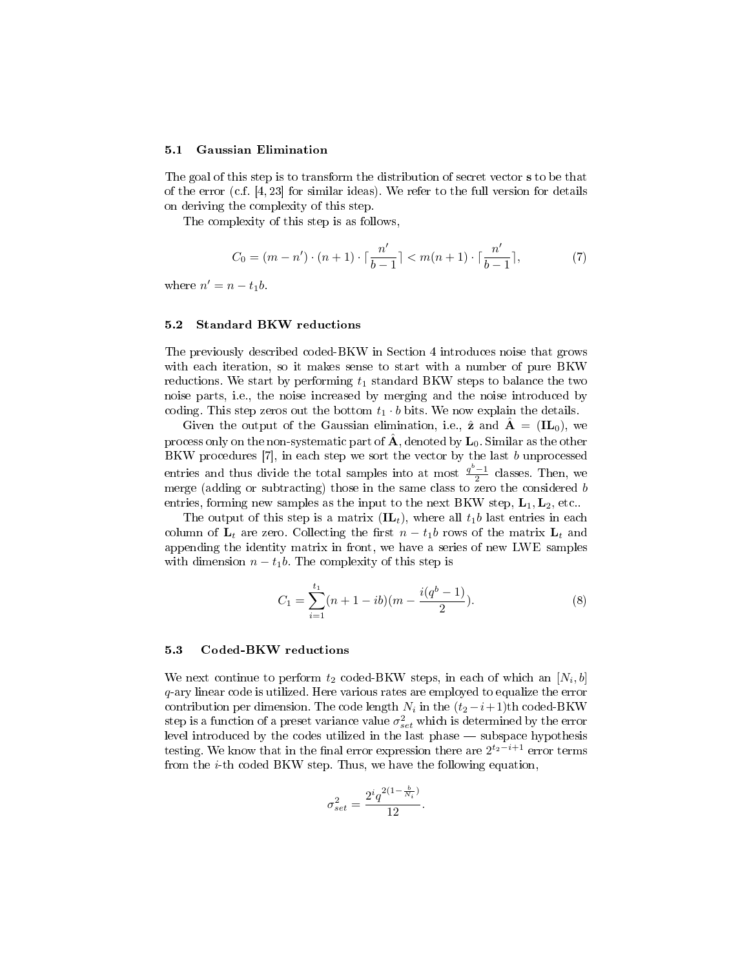#### 5.1 Gaussian Elimination

The goal of this step is to transform the distribution of secret vector s to be that of the error (c.f. [4, 23] for similar ideas). We refer to the full version for details on deriving the complexity of this step.

The complexity of this step is as follows,

$$
C_0 = (m - n') \cdot (n + 1) \cdot \lceil \frac{n'}{b - 1} \rceil < m(n + 1) \cdot \lceil \frac{n'}{b - 1} \rceil,
$$
 (7)

where  $n' = n - t_1 b$ .

#### 5.2 Standard BKW reductions

The previously described coded-BKW in Section 4 introduces noise that grows with each iteration, so it makes sense to start with a number of pure BKW reductions. We start by performing  $t_1$  standard BKW steps to balance the two noise parts, i.e., the noise increased by merging and the noise introduced by coding. This step zeros out the bottom  $t_1 \cdot b$  bits. We now explain the details.

Given the output of the Gaussian elimination, i.e.,  $\hat{z}$  and  $A = (IL_0)$ , we process only on the non-systematic part of  $\ddot{A}$ , denoted by  $L_0$ . Similar as the other BKW procedures  $[7]$ , in each step we sort the vector by the last  $b$  unprocessed entries and thus divide the total samples into at most  $\frac{q^{b}-1}{2}$  classes. Then, we merge (adding or subtracting) those in the same class to zero the considered b entries, forming new samples as the input to the next BKW step,  $L_1, L_2$ , etc...

The output of this step is a matrix  $(IL<sub>t</sub>)$ , where all  $t<sub>1</sub>b$  last entries in each column of  $L_t$  are zero. Collecting the first  $n - t_1b$  rows of the matrix  $L_t$  and appending the identity matrix in front, we have a series of new LWE samples with dimension  $n - t_1b$ . The complexity of this step is

$$
C_1 = \sum_{i=1}^{t_1} (n+1-ib)(m - \frac{i(q^b - 1)}{2}).
$$
\n(8)

#### 5.3 Coded-BKW reductions

We next continue to perform  $t_2$  coded-BKW steps, in each of which an  $[N_i, b]$  $q$ -ary linear code is utilized. Here various rates are employed to equalize the error contribution per dimension. The code length  $N_i$  in the  $(t_2\!-\!i\!+\!1)\text{th}$  coded-BKW step is a function of a preset variance value  $\sigma_{set}^2$  which is determined by the error level introduced by the codes utilized in the last phase  $-$  subspace hypothesis testing. We know that in the final error expression there are  $2^{t_2-i+1}$  error terms from the  $i$ -th coded BKW step. Thus, we have the following equation,

$$
\sigma_{set}^2 = \frac{2^i q^{2(1 - \frac{b}{N_i})}}{12}.
$$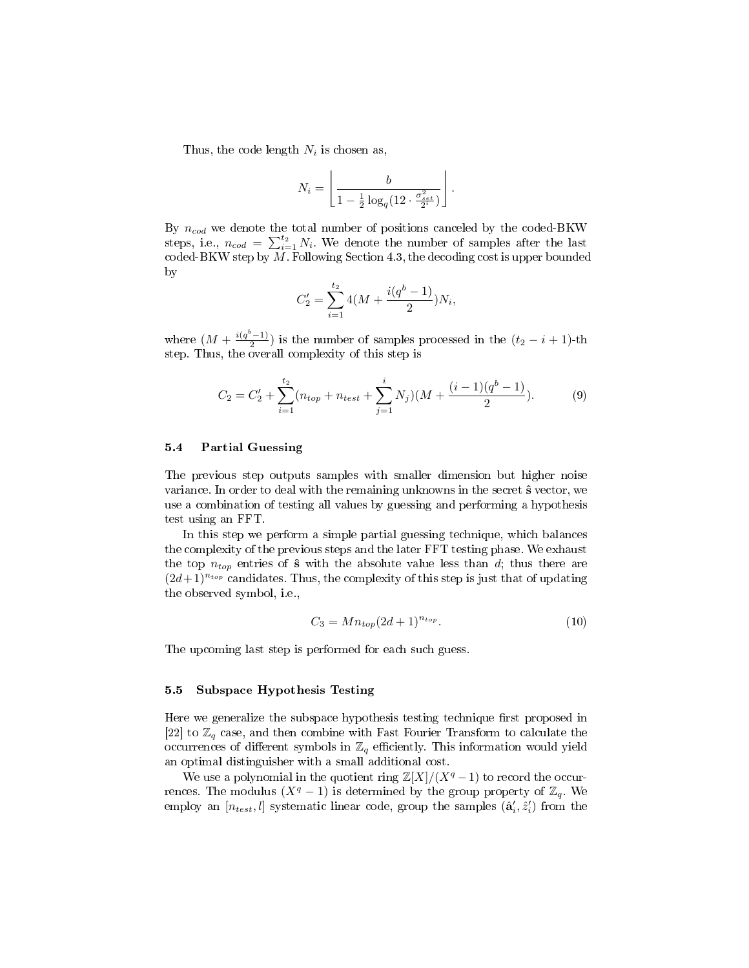Thus, the code length  $N_i$  is chosen as,

$$
N_i = \left\lfloor \frac{b}{1 - \frac{1}{2} \log_q(12 \cdot \frac{\sigma_{set}^2}{2^i})} \right\rfloor.
$$

By  $n_{cod}$  we denote the total number of positions canceled by the coded-BKW steps, i.e.,  $n_{cod} = \sum_{i=1}^{t_2} N_i$ . We denote the number of samples after the last coded-BKW step by  $\overline{M}$ . Following Section 4.3, the decoding cost is upper bounded by

$$
C_2' = \sum_{i=1}^{t_2} 4(M + \frac{i(q^b - 1)}{2})N_i,
$$

where  $(M + \frac{i(q^b-1)}{2})$  $\frac{(-1)}{2}$ ) is the number of samples processed in the  $(t_2 - i + 1)$ -th step. Thus, the overall complexity of this step is

$$
C_2 = C_2' + \sum_{i=1}^{t_2} (n_{top} + n_{test} + \sum_{j=1}^{i} N_j)(M + \frac{(i-1)(q^b - 1)}{2}).
$$
 (9)

### 5.4 Partial Guessing

The previous step outputs samples with smaller dimension but higher noise variance. In order to deal with the remaining unknowns in the secret  $\hat{\mathbf{s}}$  vector, we use a combination of testing all values by guessing and performing a hypothesis test using an FFT.

In this step we perform a simple partial guessing technique, which balances the complexity of the previous steps and the later FFT testing phase. We exhaust the top  $n_{top}$  entries of  $\hat{s}$  with the absolute value less than d; thus there are  $(2d+1)^{n_{top}}$  candidates. Thus, the complexity of this step is just that of updating the observed symbol, i.e.,

$$
C_3 = Mn_{top}(2d+1)^{n_{top}}.\t(10)
$$

The upcoming last step is performed for each such guess.

#### 5.5 Subspace Hypothesis Testing

Here we generalize the subspace hypothesis testing technique first proposed in [22] to  $\mathbb{Z}_q$  case, and then combine with Fast Fourier Transform to calculate the occurrences of different symbols in  $\mathbb{Z}_q$  efficiently. This information would yield an optimal distinguisher with a small additional cost.

We use a polynomial in the quotient ring  $\mathbb{Z}[X]/(X^q-1)$  to record the occurrences. The modulus  $(X^q - 1)$  is determined by the group property of  $\mathbb{Z}_q$ . We employ an  $[n_{test}, l]$  systematic linear code, group the samples  $(\hat{\mathbf{a}}'_i, \hat{z}'_i)$  from the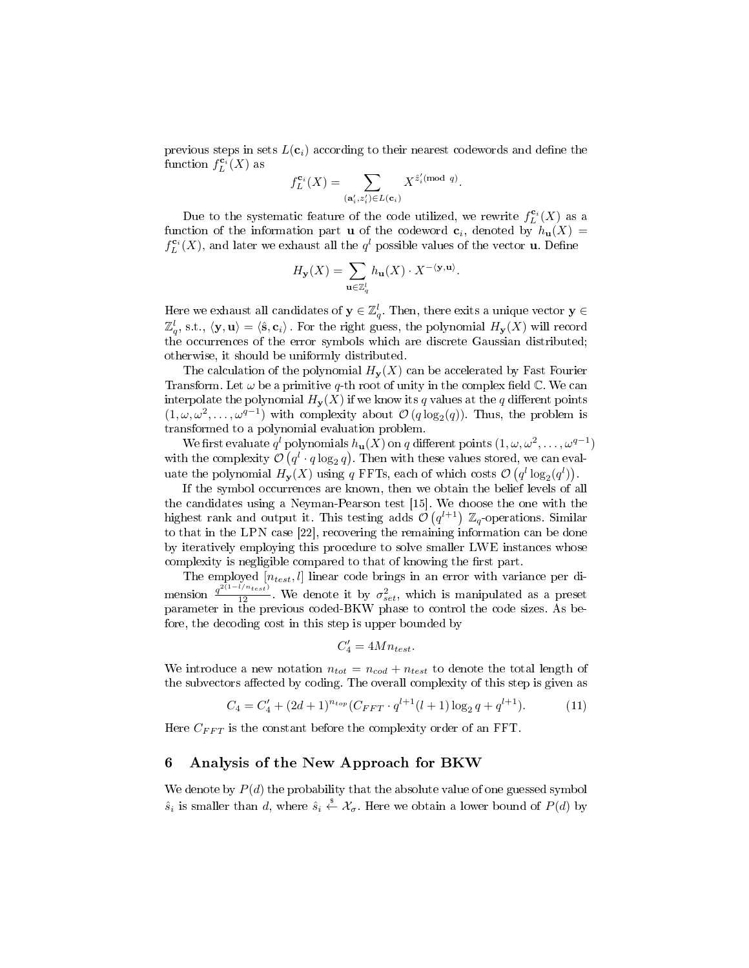previous steps in sets  $L(c_i)$  according to their nearest codewords and define the function  $f^{\mathbf{c}_i}_L(X)$  as

$$
f_L^{\mathbf{c}_i}(X) = \sum_{(\mathbf{a}'_i, z'_i) \in L(\mathbf{c}_i)} X^{\hat{z}'_i \pmod{q}}.
$$

Due to the systematic feature of the code utilized, we rewrite  $f^{\mathbf{c}_i}_L(X)$  as a function of the information part **u** of the codeword  $\mathbf{c}_i$ , denoted by  $h_{\mathbf{u}}(X) =$  $f^{\mathbf{c}_i}_L(X)$ , and later we exhaust all the  $q^l$  possible values of the vector **u**. Define

$$
H_{\mathbf{y}}(X) = \sum_{\mathbf{u} \in \mathbb{Z}_q^l} h_{\mathbf{u}}(X) \cdot X^{-\langle \mathbf{y}, \mathbf{u} \rangle}.
$$

Here we exhaust all candidates of  $\mathbf{y} \in \mathbb{Z}_q^l$ . Then, there exits a unique vector  $\mathbf{y} \in$  $\mathbb{Z}_q^l$ , s.t.,  $\langle y, u \rangle = \langle \hat{\mathbf{s}}, \mathbf{c}_i \rangle$ . For the right guess, the polynomial  $H_\mathbf{y}(X)$  will record the occurrences of the error symbols which are discrete Gaussian distributed; otherwise, it should be uniformly distributed.

The calculation of the polynomial  $H_Y(X)$  can be accelerated by Fast Fourier Transform. Let  $\omega$  be a primitive q-th root of unity in the complex field  $\mathbb{C}$ . We can interpolate the polynomial  $H_Y(X)$  if we know its q values at the q different points  $(1, \omega, \omega^2, \dots, \omega^{q-1})$  with complexity about  $\mathcal{O}(q \log_2(q))$ . Thus, the problem is transformed to a polynomial evaluation problem.

We first evaluate  $q^l$  polynomials  $h_{\bf u}(X)$  on  $q$  different points  $(1,\omega,\omega^2,\ldots,\omega^{q-1})$ with the complexity  $\mathcal{O}\left(q^{l}\cdot q\log_2 q\right)$ . Then with these values stored, we can evaluate the polynomial  $H_{\mathbf{y}}(X)$  using  $q$  FFTs, each of which costs  $\mathcal{O}\left(q^{l}\log_{2}(q^{l})\right)$ .

If the symbol occurrences are known, then we obtain the belief levels of all the candidates using a Neyman-Pearson test [15]. We choose the one with the highest rank and output it. This testing adds  $\mathcal{O}(q^{l+1})$   $\mathbb{Z}_q$ -operations. Similar to that in the LPN case [22], recovering the remaining information can be done by iteratively employing this procedure to solve smaller LWE instances whose complexity is negligible compared to that of knowing the first part.

The employed  $[n_{test}, l]$  linear code brings in an error with variance per dimension  $\frac{q^{2(1-l/n_{test})}}{12}$ . We denote it by  $\sigma_{set}^2$ , which is manipulated as a preset parameter in the previous coded-BKW phase to control the code sizes. As before, the decoding cost in this step is upper bounded by

$$
C_4^\prime=4Mn_{test}.
$$

We introduce a new notation  $n_{tot} = n_{cod} + n_{test}$  to denote the total length of the subvectors affected by coding. The overall complexity of this step is given as

$$
C_4 = C'_4 + (2d+1)^{n_{top}} (C_{FFT} \cdot q^{l+1} (l+1) \log_2 q + q^{l+1}).
$$
 (11)

Here  $C_{FFT}$  is the constant before the complexity order of an FFT.

### 6 Analysis of the New Approach for BKW

We denote by  $P(d)$  the probability that the absolute value of one guessed symbol  $\hat{s}_i$  is smaller than d, where  $\hat{s}_i \stackrel{\text{s}}{\leftarrow} \mathcal{X}_{\sigma}$ . Here we obtain a lower bound of  $P(d)$  by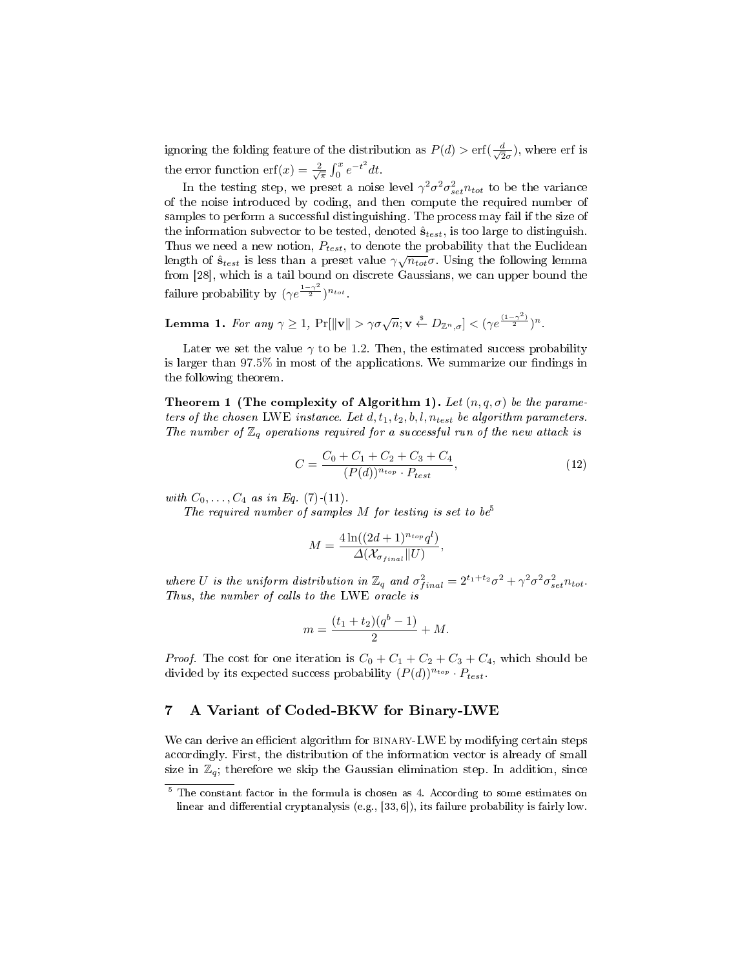ignoring the folding feature of the distribution as  $P(d) > erf(\frac{d}{\sqrt{2}})$  $\frac{d}{2\sigma}$ ), where erf is the error function  $\mathrm{erf}(x) = \frac{2}{\sqrt{\pi}} \int_0^x e^{-t^2} dt$ .

In the testing step, we preset a noise level  $\gamma^2 \sigma^2 \sigma_{set}^2 n_{tot}$  to be the variance of the noise introduced by coding, and then compute the required number of samples to perform a successful distinguishing. The process may fail if the size of the information subvector to be tested, denoted  $\hat{\mathbf{s}}_{test}$ , is too large to distinguish. Thus we need a new notion,  $P_{test}$ , to denote the probability that the Euclidean length of  $\hat{\mathbf{s}}_{test}$  is less than a preset value  $\gamma\sqrt{n_{tot}}\sigma$ . Using the following lemma from [28], which is a tail bound on discrete Gaussians, we can upper bound the failure probability by  $(\gamma e^{\frac{1-\gamma^2}{2}})^{n_{tot}}$ .

Lemma 1. For any  $\gamma \geq 1$ ,  $\Pr[\|\mathbf{v}\| > \gamma \sigma \sqrt{n}; \mathbf{v} \stackrel{\$}{\leftarrow} D_{\mathbb{Z}^n, \sigma}] < (\gamma e^{\frac{(1-\gamma^2)}{2}})^n$ .

Later we set the value  $\gamma$  to be 1.2. Then, the estimated success probability is larger than  $97.5\%$  in most of the applications. We summarize our findings in the following theorem.

**Theorem 1** (The complexity of Algorithm 1). Let  $(n, q, \sigma)$  be the parameters of the chosen LWE instance. Let  $d, t_1, t_2, b, l, n_{test}$  be algorithm parameters. The number of  $\mathbb{Z}_q$  operations required for a successful run of the new attack is

$$
C = \frac{C_0 + C_1 + C_2 + C_3 + C_4}{(P(d))^{n_{top}} \cdot P_{test}},
$$
\n(12)

with  $C_0, \ldots, C_4$  as in Eq. (7)-(11).

The required number of samples M for testing is set to be<sup>5</sup>

$$
M = \frac{4\ln((2d+1)^{n_{top}}q^l)}{\Delta(\mathcal{X}_{\sigma_{final}}||U)},
$$

where U is the uniform distribution in  $\mathbb{Z}_q$  and  $\sigma_{final}^2 = 2^{t_1+t_2}\sigma^2 + \gamma^2\sigma^2\sigma_{set}^2 n_{tot}$ . Thus, the number of calls to the LWE oracle is

$$
m = \frac{(t_1 + t_2)(q^b - 1)}{2} + M.
$$

*Proof.* The cost for one iteration is  $C_0 + C_1 + C_2 + C_3 + C_4$ , which should be divided by its expected success probability  $(P(d))^{n_{top}} \cdot P_{test}$ .

### 7 A Variant of Coded-BKW for Binary-LWE

We can derive an efficient algorithm for BINARY-LWE by modifying certain steps accordingly. First, the distribution of the information vector is already of small size in  $\mathbb{Z}_q$ ; therefore we skip the Gaussian elimination step. In addition, since

<sup>5</sup> The constant factor in the formula is chosen as 4. According to some estimates on linear and differential cryptanalysis (e.g.,  $[33, 6]$ ), its failure probability is fairly low.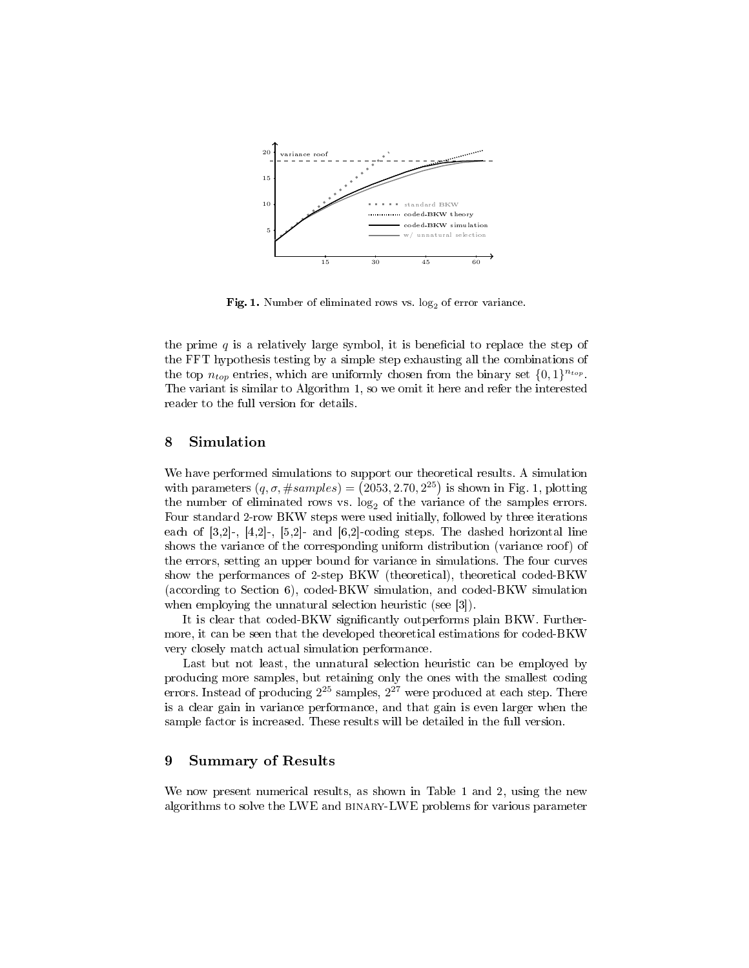

Fig. 1. Number of eliminated rows vs.  $log<sub>2</sub>$  of error variance.

the prime  $q$  is a relatively large symbol, it is beneficial to replace the step of the FFT hypothesis testing by a simple step exhausting all the combinations of the top  $n_{top}$  entries, which are uniformly chosen from the binary set  $\{0, 1\}^{n_{top}}$ . The variant is similar to Algorithm 1, so we omit it here and refer the interested reader to the full version for details.

# 8 Simulation

We have performed simulations to support our theoretical results. A simulation with parameters  $(q, \sigma, \#samples) = (2053, 2.70, 2^{25})$  is shown in Fig. 1, plotting the number of eliminated rows vs.  $log_2$  of the variance of the samples errors. Four standard 2-row BKW steps were used initially, followed by three iterations each of  $[3,2]$ -,  $[4,2]$ -,  $[5,2]$ - and  $[6,2]$ -coding steps. The dashed horizontal line shows the variance of the corresponding uniform distribution (variance roof) of the errors, setting an upper bound for variance in simulations. The four curves show the performances of 2-step BKW (theoretical), theoretical coded-BKW (according to Section 6), coded-BKW simulation, and coded-BKW simulation when employing the unnatural selection heuristic (see [3]).

It is clear that coded-BKW significantly outperforms plain BKW. Furthermore, it can be seen that the developed theoretical estimations for coded-BKW very closely match actual simulation performance.

Last but not least, the unnatural selection heuristic can be employed by producing more samples, but retaining only the ones with the smallest coding errors. Instead of producing  $2^{25}$  samples,  $2^{27}$  were produced at each step. There is a clear gain in variance performance, and that gain is even larger when the sample factor is increased. These results will be detailed in the full version.

### 9 Summary of Results

We now present numerical results, as shown in Table 1 and 2, using the new algorithms to solve the LWE and binary-LWE problems for various parameter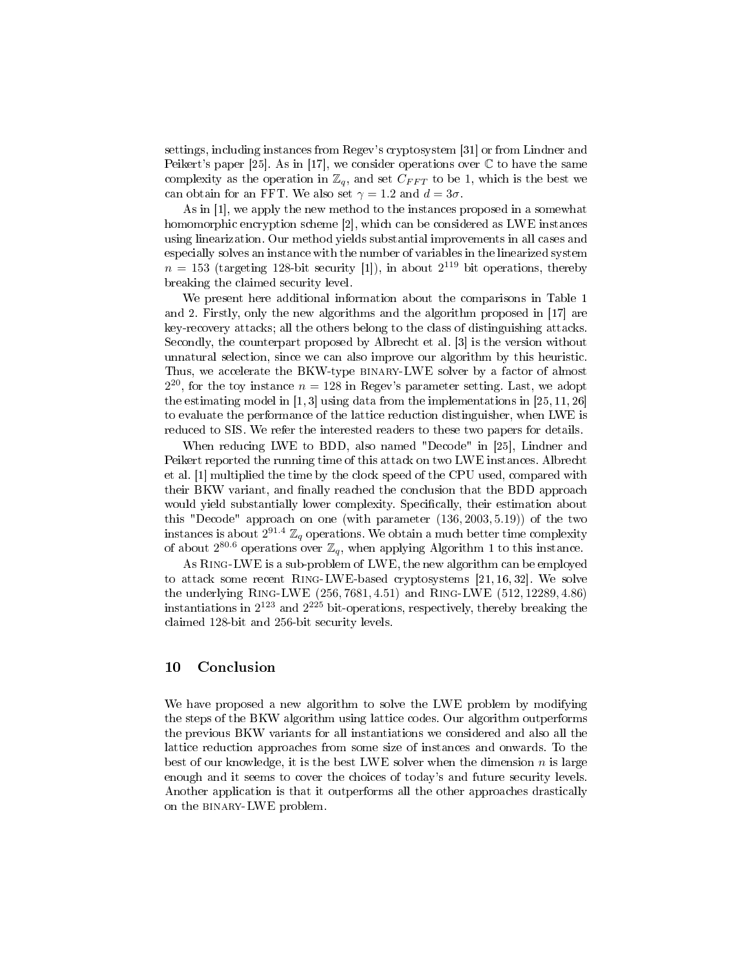settings, including instances from Regev's cryptosystem [31] or from Lindner and Peikert's paper [25]. As in [17], we consider operations over  $\mathbb C$  to have the same complexity as the operation in  $\mathbb{Z}_q$ , and set  $C_{FFT}$  to be 1, which is the best we can obtain for an FFT. We also set  $\gamma = 1.2$  and  $d = 3\sigma$ .

As in [1], we apply the new method to the instances proposed in a somewhat homomorphic encryption scheme [2], which can be considered as LWE instances using linearization. Our method yields substantial improvements in all cases and especially solves an instance with the number of variables in the linearized system  $n = 153$  (targeting 128-bit security [1]), in about  $2^{119}$  bit operations, thereby breaking the claimed security level.

We present here additional information about the comparisons in Table 1 and 2. Firstly, only the new algorithms and the algorithm proposed in [17] are key-recovery attacks; all the others belong to the class of distinguishing attacks. Secondly, the counterpart proposed by Albrecht et al. [3] is the version without unnatural selection, since we can also improve our algorithm by this heuristic. Thus, we accelerate the BKW-type BINARY-LWE solver by a factor of almost  $2^{20}$ , for the toy instance  $n = 128$  in Regev's parameter setting. Last, we adopt the estimating model in [1, 3] using data from the implementations in [25, 11, 26] to evaluate the performance of the lattice reduction distinguisher, when LWE is reduced to SIS. We refer the interested readers to these two papers for details.

When reducing LWE to BDD, also named "Decode" in [25], Lindner and Peikert reported the running time of this attack on two LWE instances. Albrecht et al. [1] multiplied the time by the clock speed of the CPU used, compared with their BKW variant, and finally reached the conclusion that the BDD approach would yield substantially lower complexity. Specifically, their estimation about this "Decode" approach on one (with parameter (136, 2003, 5.19)) of the two instances is about  $2^{91.4}$   $\mathbb{Z}_q$  operations. We obtain a much better time complexity of about  $2^{80.6}$  operations over  $\mathbb{Z}_q$ , when applying Algorithm 1 to this instance.

As Ring-LWE is a sub-problem of LWE, the new algorithm can be employed to attack some recent Ring-LWE-based cryptosystems [21, 16, 32]. We solve the underlying Ring-LWE (256, 7681, 4.51) and Ring-LWE (512, 12289, 4.86) instantiations in  $2^{123}$  and  $2^{225}$  bit-operations, respectively, thereby breaking the claimed 128-bit and 256-bit security levels.

### 10 Conclusion

We have proposed a new algorithm to solve the LWE problem by modifying the steps of the BKW algorithm using lattice codes. Our algorithm outperforms the previous BKW variants for all instantiations we considered and also all the lattice reduction approaches from some size of instances and onwards. To the best of our knowledge, it is the best LWE solver when the dimension  $n$  is large enough and it seems to cover the choices of today's and future security levels. Another application is that it outperforms all the other approaches drastically on the BINARY-LWE problem.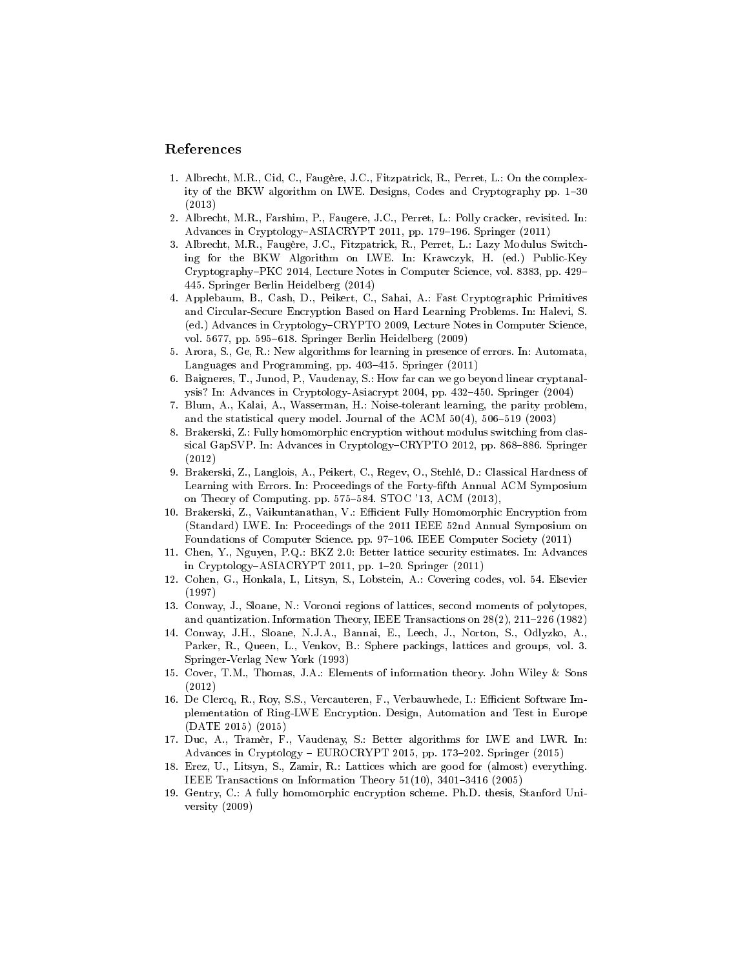# References

- 1. Albrecht, M.R., Cid, C., Faugère, J.C., Fitzpatrick, R., Perret, L.: On the complexity of the BKW algorithm on LWE. Designs, Codes and Cryptography pp. 130 (2013)
- 2. Albrecht, M.R., Farshim, P., Faugere, J.C., Perret, L.: Polly cracker, revisited. In: Advances in Cryptology-ASIACRYPT 2011, pp. 179-196. Springer (2011)
- 3. Albrecht, M.R., Faugère, J.C., Fitzpatrick, R., Perret, L.: Lazy Modulus Switching for the BKW Algorithm on LWE. In: Krawczyk, H. (ed.) Public-Key Cryptography-PKC 2014, Lecture Notes in Computer Science, vol. 8383, pp. 429– 445. Springer Berlin Heidelberg (2014)
- 4. Applebaum, B., Cash, D., Peikert, C., Sahai, A.: Fast Cryptographic Primitives and Circular-Secure Encryption Based on Hard Learning Problems. In: Halevi, S. (ed.) Advances in Cryptology–CRYPTO 2009, Lecture Notes in Computer Science, vol. 5677, pp. 595–618. Springer Berlin Heidelberg (2009)
- 5. Arora, S., Ge, R.: New algorithms for learning in presence of errors. In: Automata, Languages and Programming, pp. 403-415. Springer (2011)
- 6. Baigneres, T., Junod, P., Vaudenay, S.: How far can we go beyond linear cryptanalysis? In: Advances in Cryptology-Asiacrypt 2004, pp. 432450. Springer (2004)
- 7. Blum, A., Kalai, A., Wasserman, H.: Noise-tolerant learning, the parity problem, and the statistical query model. Journal of the ACM  $50(4)$ ,  $506-519$  (2003)
- 8. Brakerski, Z.: Fully homomorphic encryption without modulus switching from classical GapSVP. In: Advances in Cryptology–CRYPTO 2012, pp. 868–886. Springer (2012)
- 9. Brakerski, Z., Langlois, A., Peikert, C., Regev, O., Stehlé, D.: Classical Hardness of Learning with Errors. In: Proceedings of the Forty-fth Annual ACM Symposium on Theory of Computing. pp. 575-584. STOC '13, ACM (2013),
- 10. Brakerski, Z., Vaikuntanathan, V.: Efficient Fully Homomorphic Encryption from (Standard) LWE. In: Proceedings of the 2011 IEEE 52nd Annual Symposium on Foundations of Computer Science. pp. 97-106. IEEE Computer Society (2011)
- 11. Chen, Y., Nguyen, P.Q.: BKZ 2.0: Better lattice security estimates. In: Advances in Cryptology-ASIACRYPT 2011, pp.  $1-20$ . Springer (2011)
- 12. Cohen, G., Honkala, I., Litsyn, S., Lobstein, A.: Covering codes, vol. 54. Elsevier (1997)
- 13. Conway, J., Sloane, N.: Voronoi regions of lattices, second moments of polytopes, and quantization. Information Theory, IEEE Transactions on  $28(2)$ ,  $211-226$  (1982)
- 14. Conway, J.H., Sloane, N.J.A., Bannai, E., Leech, J., Norton, S., Odlyzko, A., Parker, R., Queen, L., Venkov, B.: Sphere packings, lattices and groups, vol. 3. Springer-Verlag New York (1993)
- 15. Cover, T.M., Thomas, J.A.: Elements of information theory. John Wiley & Sons (2012)
- 16. De Clercq, R., Roy, S.S., Vercauteren, F., Verbauwhede, I.: Efficient Software Implementation of Ring-LWE Encryption. Design, Automation and Test in Europe (DATE 2015) (2015)
- 17. Duc, A., Tramèr, F., Vaudenay, S.: Better algorithms for LWE and LWR. In: Advances in Cryptology - EUROCRYPT 2015, pp. 173-202. Springer (2015)
- 18. Erez, U., Litsyn, S., Zamir, R.: Lattices which are good for (almost) everything. IEEE Transactions on Information Theory  $51(10)$ ,  $3401-3416$  (2005)
- 19. Gentry, C.: A fully homomorphic encryption scheme. Ph.D. thesis, Stanford University (2009)